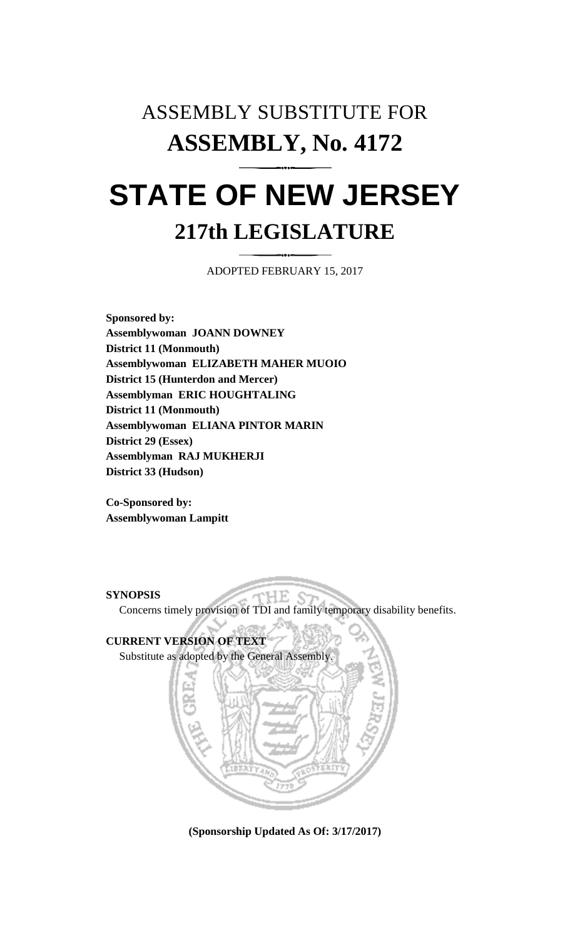# ASSEMBLY SUBSTITUTE FOR **ASSEMBLY, No. 4172 STATE OF NEW JERSEY 217th LEGISLATURE**

ADOPTED FEBRUARY 15, 2017

**Sponsored by: Assemblywoman JOANN DOWNEY District 11 (Monmouth) Assemblywoman ELIZABETH MAHER MUOIO District 15 (Hunterdon and Mercer) Assemblyman ERIC HOUGHTALING District 11 (Monmouth) Assemblywoman ELIANA PINTOR MARIN District 29 (Essex) Assemblyman RAJ MUKHERJI District 33 (Hudson)**

**Co-Sponsored by: Assemblywoman Lampitt**

### **SYNOPSIS**

Concerns timely provision of TDI and family temporary disability benefits.

HE.

## **CURRENT VERSION OF TEXT**

Substitute as adopted by the General Assembly.



**(Sponsorship Updated As Of: 3/17/2017)**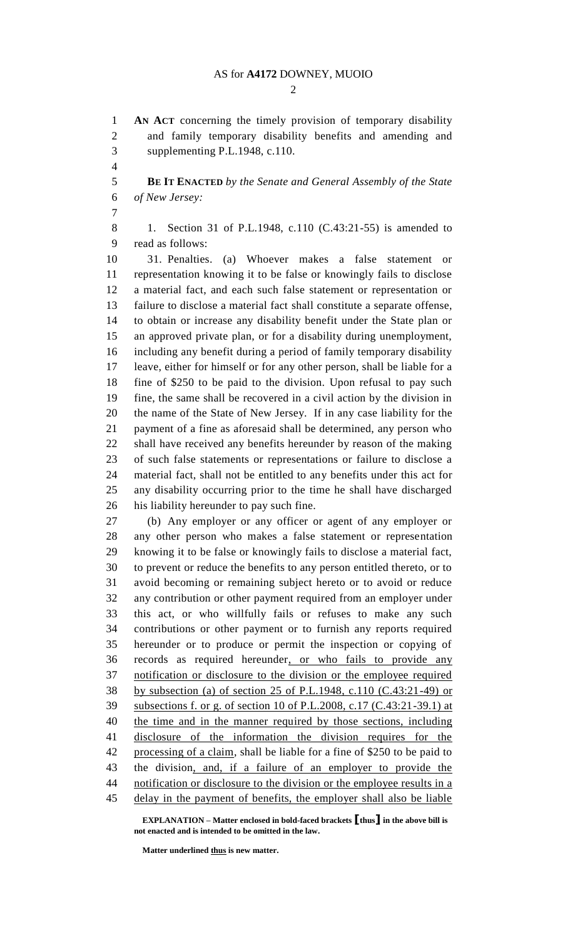$\mathcal{D}$ 

 **AN ACT** concerning the timely provision of temporary disability and family temporary disability benefits and amending and supplementing P.L.1948, c.110.

 **BE IT ENACTED** *by the Senate and General Assembly of the State of New Jersey:*

 1. Section 31 of P.L.1948, c.110 (C.43:21-55) is amended to read as follows:

 31. Penalties. (a) Whoever makes a false statement or representation knowing it to be false or knowingly fails to disclose a material fact, and each such false statement or representation or failure to disclose a material fact shall constitute a separate offense, to obtain or increase any disability benefit under the State plan or an approved private plan, or for a disability during unemployment, including any benefit during a period of family temporary disability leave, either for himself or for any other person, shall be liable for a fine of \$250 to be paid to the division. Upon refusal to pay such fine, the same shall be recovered in a civil action by the division in the name of the State of New Jersey. If in any case liability for the payment of a fine as aforesaid shall be determined, any person who shall have received any benefits hereunder by reason of the making of such false statements or representations or failure to disclose a material fact, shall not be entitled to any benefits under this act for any disability occurring prior to the time he shall have discharged his liability hereunder to pay such fine.

 (b) Any employer or any officer or agent of any employer or any other person who makes a false statement or representation knowing it to be false or knowingly fails to disclose a material fact, to prevent or reduce the benefits to any person entitled thereto, or to avoid becoming or remaining subject hereto or to avoid or reduce any contribution or other payment required from an employer under this act, or who willfully fails or refuses to make any such contributions or other payment or to furnish any reports required hereunder or to produce or permit the inspection or copying of records as required hereunder, or who fails to provide any notification or disclosure to the division or the employee required by subsection (a) of section 25 of P.L.1948, c.110 (C.43:21-49) or subsections f. or g. of section 10 of P.L.2008, c.17 (C.43:21-39.1) at the time and in the manner required by those sections, including disclosure of the information the division requires for the processing of a claim, shall be liable for a fine of \$250 to be paid to the division, and, if a failure of an employer to provide the 44 notification or disclosure to the division or the employee results in a delay in the payment of benefits, the employer shall also be liable

**EXPLANATION – Matter enclosed in bold-faced brackets [thus] in the above bill is not enacted and is intended to be omitted in the law.**

**Matter underlined thus is new matter.**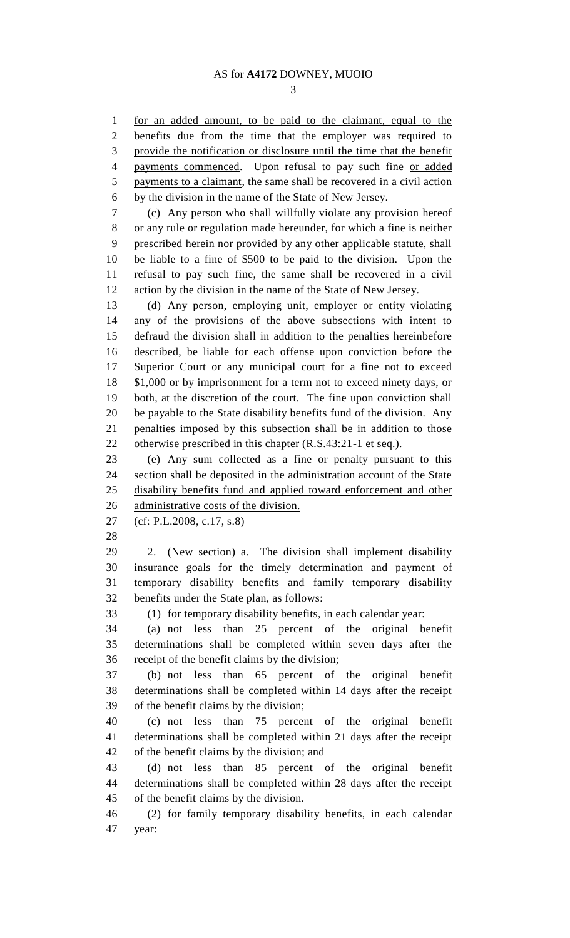for an added amount, to be paid to the claimant, equal to the benefits due from the time that the employer was required to provide the notification or disclosure until the time that the benefit 4 payments commenced. Upon refusal to pay such fine or added payments to a claimant, the same shall be recovered in a civil action by the division in the name of the State of New Jersey. (c) Any person who shall willfully violate any provision hereof or any rule or regulation made hereunder, for which a fine is neither prescribed herein nor provided by any other applicable statute, shall be liable to a fine of \$500 to be paid to the division. Upon the refusal to pay such fine, the same shall be recovered in a civil action by the division in the name of the State of New Jersey. (d) Any person, employing unit, employer or entity violating any of the provisions of the above subsections with intent to defraud the division shall in addition to the penalties hereinbefore described, be liable for each offense upon conviction before the Superior Court or any municipal court for a fine not to exceed \$1,000 or by imprisonment for a term not to exceed ninety days, or both, at the discretion of the court. The fine upon conviction shall be payable to the State disability benefits fund of the division. Any penalties imposed by this subsection shall be in addition to those otherwise prescribed in this chapter (R.S.43:21-1 et seq.). (e) Any sum collected as a fine or penalty pursuant to this section shall be deposited in the administration account of the State disability benefits fund and applied toward enforcement and other administrative costs of the division. (cf: P.L.2008, c.17, s.8) 2. (New section) a. The division shall implement disability insurance goals for the timely determination and payment of temporary disability benefits and family temporary disability benefits under the State plan, as follows: (1) for temporary disability benefits, in each calendar year: (a) not less than 25 percent of the original benefit determinations shall be completed within seven days after the receipt of the benefit claims by the division; (b) not less than 65 percent of the original benefit determinations shall be completed within 14 days after the receipt of the benefit claims by the division; (c) not less than 75 percent of the original benefit determinations shall be completed within 21 days after the receipt of the benefit claims by the division; and (d) not less than 85 percent of the original benefit determinations shall be completed within 28 days after the receipt of the benefit claims by the division. (2) for family temporary disability benefits, in each calendar year: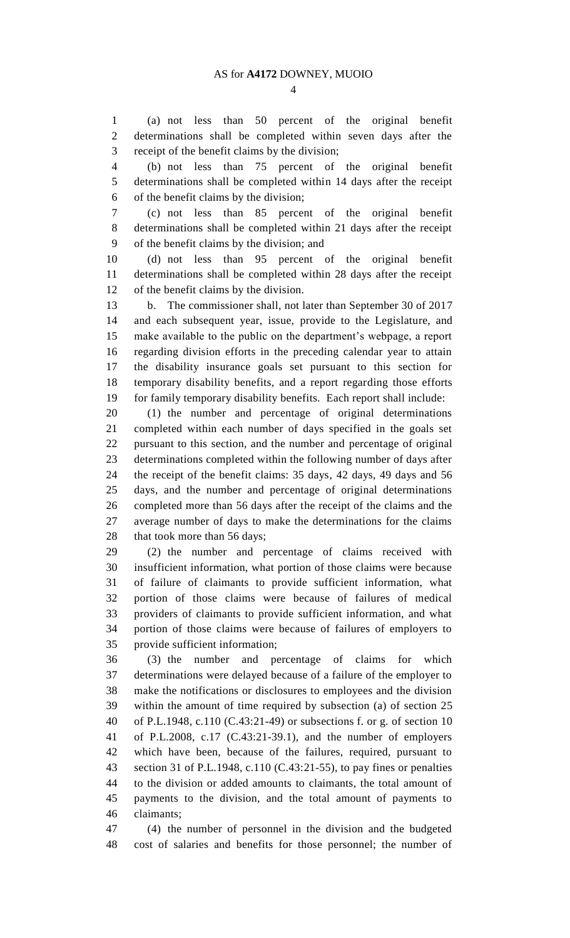(a) not less than 50 percent of the original benefit determinations shall be completed within seven days after the receipt of the benefit claims by the division;

 (b) not less than 75 percent of the original benefit determinations shall be completed within 14 days after the receipt of the benefit claims by the division;

 (c) not less than 85 percent of the original benefit determinations shall be completed within 21 days after the receipt of the benefit claims by the division; and

 (d) not less than 95 percent of the original benefit determinations shall be completed within 28 days after the receipt of the benefit claims by the division.

 b. The commissioner shall, not later than September 30 of 2017 and each subsequent year, issue, provide to the Legislature, and make available to the public on the department's webpage, a report regarding division efforts in the preceding calendar year to attain the disability insurance goals set pursuant to this section for temporary disability benefits, and a report regarding those efforts for family temporary disability benefits. Each report shall include:

 (1) the number and percentage of original determinations completed within each number of days specified in the goals set pursuant to this section, and the number and percentage of original determinations completed within the following number of days after the receipt of the benefit claims: 35 days, 42 days, 49 days and 56 days, and the number and percentage of original determinations completed more than 56 days after the receipt of the claims and the average number of days to make the determinations for the claims that took more than 56 days;

 (2) the number and percentage of claims received with insufficient information, what portion of those claims were because of failure of claimants to provide sufficient information, what portion of those claims were because of failures of medical providers of claimants to provide sufficient information, and what portion of those claims were because of failures of employers to provide sufficient information;

 (3) the number and percentage of claims for which determinations were delayed because of a failure of the employer to make the notifications or disclosures to employees and the division within the amount of time required by subsection (a) of section 25 of P.L.1948, c.110 (C.43:21-49) or subsections f. or g. of section 10 of P.L.2008, c.17 (C.43:21-39.1), and the number of employers which have been, because of the failures, required, pursuant to section 31 of P.L.1948, c.110 (C.43:21-55), to pay fines or penalties to the division or added amounts to claimants, the total amount of payments to the division, and the total amount of payments to claimants;

 (4) the number of personnel in the division and the budgeted cost of salaries and benefits for those personnel; the number of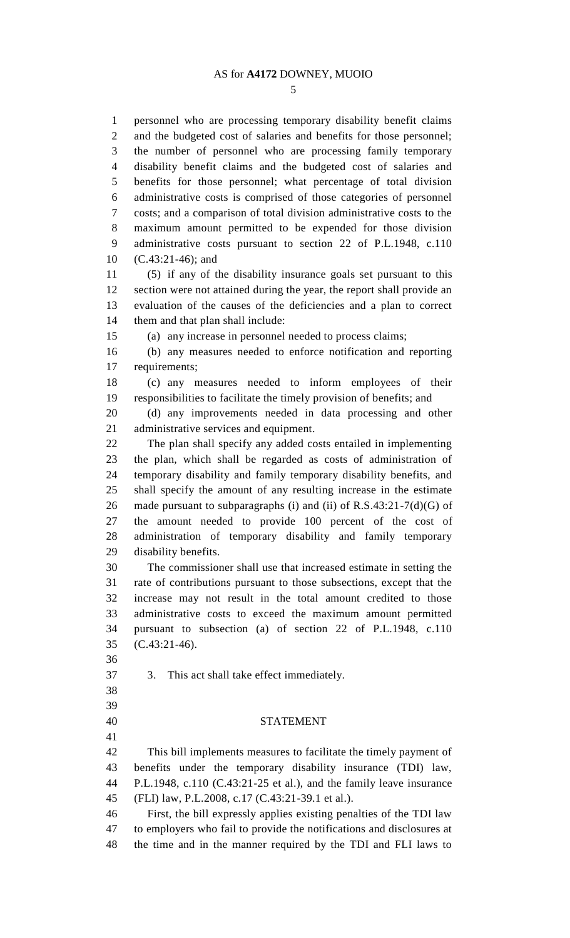personnel who are processing temporary disability benefit claims and the budgeted cost of salaries and benefits for those personnel; the number of personnel who are processing family temporary disability benefit claims and the budgeted cost of salaries and benefits for those personnel; what percentage of total division administrative costs is comprised of those categories of personnel costs; and a comparison of total division administrative costs to the maximum amount permitted to be expended for those division administrative costs pursuant to section 22 of P.L.1948, c.110 (C.43:21-46); and (5) if any of the disability insurance goals set pursuant to this

 section were not attained during the year, the report shall provide an evaluation of the causes of the deficiencies and a plan to correct them and that plan shall include:

(a) any increase in personnel needed to process claims;

 (b) any measures needed to enforce notification and reporting requirements;

 (c) any measures needed to inform employees of their responsibilities to facilitate the timely provision of benefits; and

 (d) any improvements needed in data processing and other administrative services and equipment.

 The plan shall specify any added costs entailed in implementing the plan, which shall be regarded as costs of administration of temporary disability and family temporary disability benefits, and shall specify the amount of any resulting increase in the estimate 26 made pursuant to subparagraphs (i) and (ii) of R.S.43:21-7(d)(G) of the amount needed to provide 100 percent of the cost of administration of temporary disability and family temporary disability benefits.

 The commissioner shall use that increased estimate in setting the rate of contributions pursuant to those subsections, except that the increase may not result in the total amount credited to those administrative costs to exceed the maximum amount permitted pursuant to subsection (a) of section 22 of P.L.1948, c.110 (C.43:21-46).

3. This act shall take effect immediately.

#### 

#### STATEMENT

 This bill implements measures to facilitate the timely payment of benefits under the temporary disability insurance (TDI) law, P.L.1948, c.110 (C.43:21-25 et al.), and the family leave insurance (FLI) law, P.L.2008, c.17 (C.43:21-39.1 et al.).

 First, the bill expressly applies existing penalties of the TDI law to employers who fail to provide the notifications and disclosures at the time and in the manner required by the TDI and FLI laws to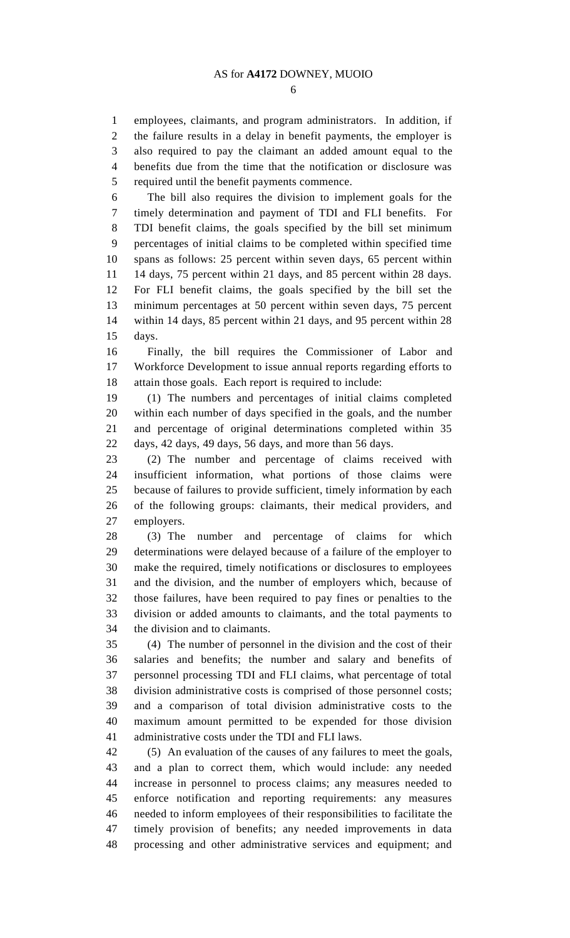employees, claimants, and program administrators. In addition, if the failure results in a delay in benefit payments, the employer is also required to pay the claimant an added amount equal to the benefits due from the time that the notification or disclosure was required until the benefit payments commence.

 The bill also requires the division to implement goals for the timely determination and payment of TDI and FLI benefits. For TDI benefit claims, the goals specified by the bill set minimum percentages of initial claims to be completed within specified time spans as follows: 25 percent within seven days, 65 percent within 14 days, 75 percent within 21 days, and 85 percent within 28 days. For FLI benefit claims, the goals specified by the bill set the minimum percentages at 50 percent within seven days, 75 percent within 14 days, 85 percent within 21 days, and 95 percent within 28 days.

 Finally, the bill requires the Commissioner of Labor and Workforce Development to issue annual reports regarding efforts to attain those goals. Each report is required to include:

 (1) The numbers and percentages of initial claims completed within each number of days specified in the goals, and the number and percentage of original determinations completed within 35 days, 42 days, 49 days, 56 days, and more than 56 days.

 (2) The number and percentage of claims received with insufficient information, what portions of those claims were because of failures to provide sufficient, timely information by each of the following groups: claimants, their medical providers, and employers.

 (3) The number and percentage of claims for which determinations were delayed because of a failure of the employer to make the required, timely notifications or disclosures to employees and the division, and the number of employers which, because of those failures, have been required to pay fines or penalties to the division or added amounts to claimants, and the total payments to the division and to claimants.

 (4) The number of personnel in the division and the cost of their salaries and benefits; the number and salary and benefits of personnel processing TDI and FLI claims, what percentage of total division administrative costs is comprised of those personnel costs; and a comparison of total division administrative costs to the maximum amount permitted to be expended for those division administrative costs under the TDI and FLI laws.

 (5) An evaluation of the causes of any failures to meet the goals, and a plan to correct them, which would include: any needed increase in personnel to process claims; any measures needed to enforce notification and reporting requirements: any measures needed to inform employees of their responsibilities to facilitate the timely provision of benefits; any needed improvements in data processing and other administrative services and equipment; and